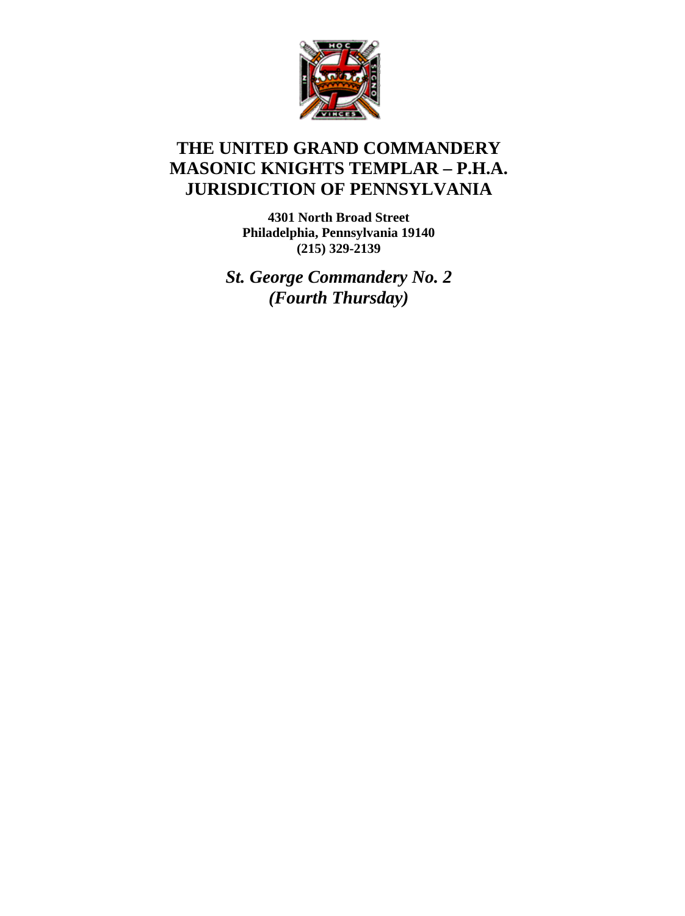

# **THE UNITED GRAND COMMANDERY MASONIC KNIGHTS TEMPLAR – P.H.A. JURISDICTION OF PENNSYLVANIA**

**4301 North Broad Street Philadelphia, Pennsylvania 19140 (215) 329-2139** 

*St. George Commandery No. 2 (Fourth Thursday)*